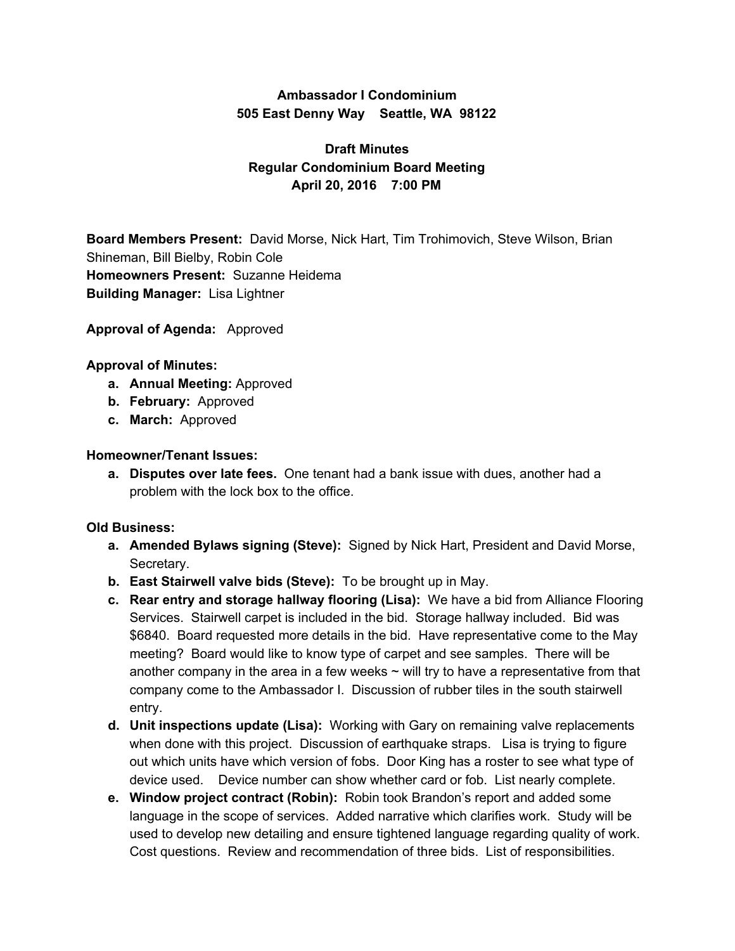## **Ambassador I Condominium 505 East Denny Way Seattle, WA 98122**

# **Draft Minutes Regular Condominium Board Meeting April 20, 2016 7:00 PM**

**Board Members Present:** David Morse, Nick Hart, Tim Trohimovich, Steve Wilson, Brian Shineman, Bill Bielby, Robin Cole **Homeowners Present:** Suzanne Heidema **Building Manager:** Lisa Lightner

**Approval of Agenda:** Approved

#### **Approval of Minutes:**

- **a. Annual Meeting:** Approved
- **b. February:** Approved
- **c. March:** Approved

#### **Homeowner/Tenant Issues:**

**a. Disputes over late fees.** One tenant had a bank issue with dues, another had a problem with the lock box to the office.

### **Old Business:**

- **a. Amended Bylaws signing (Steve):** Signed by Nick Hart, President and David Morse, Secretary.
- **b. East Stairwell valve bids (Steve):** To be brought up in May.
- **c. Rear entry and storage hallway flooring (Lisa):** We have a bid from Alliance Flooring Services. Stairwell carpet is included in the bid. Storage hallway included. Bid was \$6840. Board requested more details in the bid. Have representative come to the May meeting? Board would like to know type of carpet and see samples. There will be another company in the area in a few weeks  $\sim$  will try to have a representative from that company come to the Ambassador I. Discussion of rubber tiles in the south stairwell entry.
- **d. Unit inspections update (Lisa):** Working with Gary on remaining valve replacements when done with this project. Discussion of earthquake straps. Lisa is trying to figure out which units have which version of fobs. Door King has a roster to see what type of device used. Device number can show whether card or fob. List nearly complete.
- **e. Window project contract (Robin):** Robin took Brandon's report and added some language in the scope of services. Added narrative which clarifies work. Study will be used to develop new detailing and ensure tightened language regarding quality of work. Cost questions. Review and recommendation of three bids. List of responsibilities.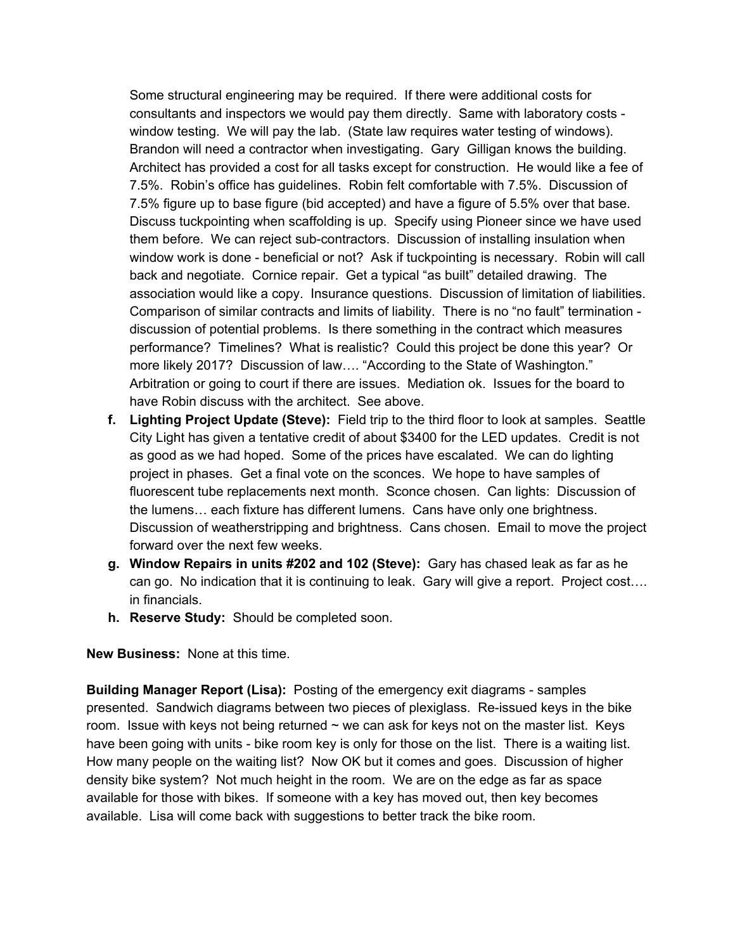Some structural engineering may be required. If there were additional costs for consultants and inspectors we would pay them directly. Same with laboratory costs window testing. We will pay the lab. (State law requires water testing of windows). Brandon will need a contractor when investigating. Gary Gilligan knows the building. Architect has provided a cost for all tasks except for construction. He would like a fee of 7.5%. Robin's office has guidelines. Robin felt comfortable with 7.5%. Discussion of 7.5% figure up to base figure (bid accepted) and have a figure of 5.5% over that base. Discuss tuckpointing when scaffolding is up. Specify using Pioneer since we have used them before. We can reject sub-contractors. Discussion of installing insulation when window work is done - beneficial or not? Ask if tuckpointing is necessary. Robin will call back and negotiate. Cornice repair. Get a typical "as built" detailed drawing. The association would like a copy. Insurance questions. Discussion of limitation of liabilities. Comparison of similar contracts and limits of liability. There is no "no fault" termination discussion of potential problems. Is there something in the contract which measures performance? Timelines? What is realistic? Could this project be done this year? Or more likely 2017? Discussion of law…. "According to the State of Washington." Arbitration or going to court if there are issues. Mediation ok. Issues for the board to have Robin discuss with the architect. See above.

- **f. Lighting Project Update (Steve):** Field trip to the third floor to look at samples. Seattle City Light has given a tentative credit of about \$3400 for the LED updates. Credit is not as good as we had hoped. Some of the prices have escalated. We can do lighting project in phases. Get a final vote on the sconces. We hope to have samples of fluorescent tube replacements next month. Sconce chosen. Can lights: Discussion of the lumens… each fixture has different lumens. Cans have only one brightness. Discussion of weatherstripping and brightness. Cans chosen. Email to move the project forward over the next few weeks.
- **g. Window Repairs in units #202 and 102 (Steve):** Gary has chased leak as far as he can go. No indication that it is continuing to leak. Gary will give a report. Project cost…. in financials.
- **h. Reserve Study:** Should be completed soon.

**New Business:** None at this time.

**Building Manager Report (Lisa):** Posting of the emergency exit diagrams - samples presented. Sandwich diagrams between two pieces of plexiglass. Re-issued keys in the bike room. Issue with keys not being returned  $\sim$  we can ask for keys not on the master list. Keys have been going with units - bike room key is only for those on the list. There is a waiting list. How many people on the waiting list? Now OK but it comes and goes. Discussion of higher density bike system? Not much height in the room. We are on the edge as far as space available for those with bikes. If someone with a key has moved out, then key becomes available. Lisa will come back with suggestions to better track the bike room.